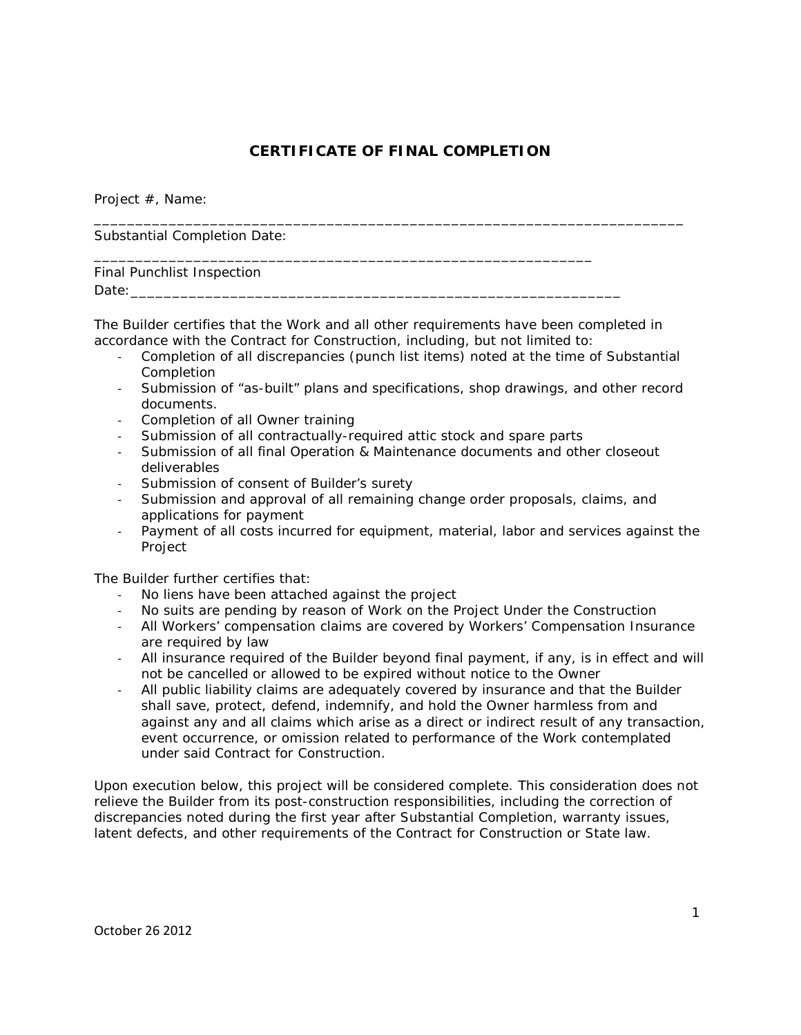# **CERTIFICATE OF FINAL COMPLETION**

\_\_\_\_\_\_\_\_\_\_\_\_\_\_\_\_\_\_\_\_\_\_\_\_\_\_\_\_\_\_\_\_\_\_\_\_\_\_\_\_\_\_\_\_\_\_\_\_\_\_\_\_\_\_\_\_\_\_\_\_\_\_\_\_\_\_\_\_\_\_\_

Project #, Name:

Substantial Completion Date:

# Final Punchlist Inspection Date:\_\_\_\_\_\_\_\_\_\_\_\_\_\_\_\_\_\_\_\_\_\_\_\_\_\_\_\_\_\_\_\_\_\_\_\_\_\_\_\_\_\_\_\_\_\_\_\_\_\_\_\_\_\_\_\_\_\_\_

The Builder certifies that the Work and all other requirements have been completed in accordance with the Contract for Construction, including, but not limited to:

- Completion of all discrepancies (punch list items) noted at the time of Substantial Completion
- Submission of "as-built" plans and specifications, shop drawings, and other record documents.
- Completion of all Owner training
- Submission of all contractually-required attic stock and spare parts

\_\_\_\_\_\_\_\_\_\_\_\_\_\_\_\_\_\_\_\_\_\_\_\_\_\_\_\_\_\_\_\_\_\_\_\_\_\_\_\_\_\_\_\_\_\_\_\_\_\_\_\_\_\_\_\_\_\_\_\_

- Submission of all final Operation & Maintenance documents and other closeout deliverables
- Submission of consent of Builder's surety
- Submission and approval of all remaining change order proposals, claims, and applications for payment
- Payment of all costs incurred for equipment, material, labor and services against the Project

The Builder further certifies that:

- No liens have been attached against the project
- No suits are pending by reason of Work on the Project Under the Construction
- All Workers' compensation claims are covered by Workers' Compensation Insurance are required by law
- All insurance required of the Builder beyond final payment, if any, is in effect and will not be cancelled or allowed to be expired without notice to the Owner
- All public liability claims are adequately covered by insurance and that the Builder shall save, protect, defend, indemnify, and hold the Owner harmless from and against any and all claims which arise as a direct or indirect result of any transaction, event occurrence, or omission related to performance of the Work contemplated under said Contract for Construction.

Upon execution below, this project will be considered complete. This consideration does not relieve the Builder from its post-construction responsibilities, including the correction of discrepancies noted during the first year after Substantial Completion, warranty issues, latent defects, and other requirements of the Contract for Construction or State law.